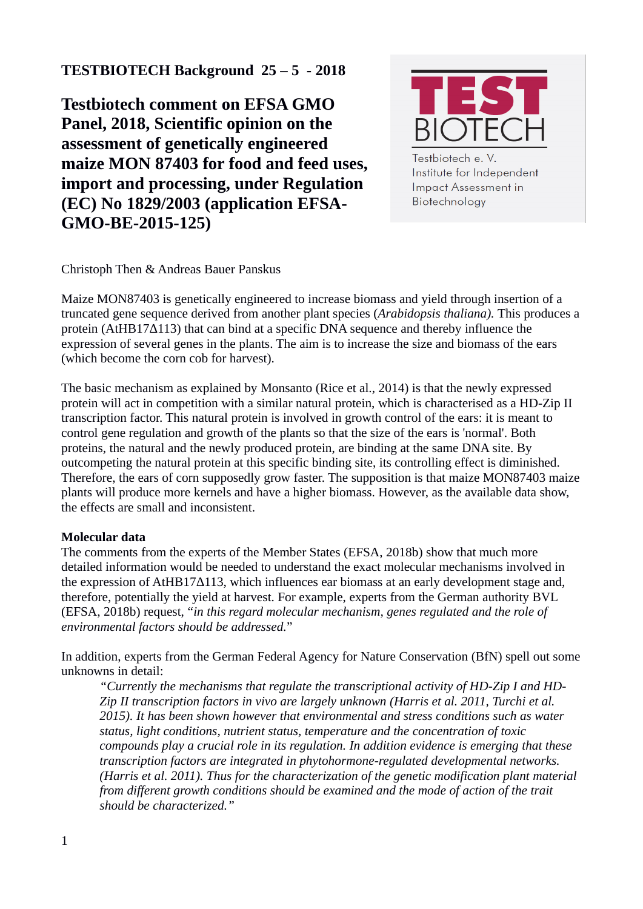# **TESTBIOTECH Background 25 – 5 - 2018**

**Testbiotech comment on EFSA GMO Panel, 2018, Scientific opinion on the assessment of genetically engineered maize MON 87403 for food and feed uses, import and processing, under Regulation (EC) No 1829/2003 (application EFSA-GMO-BE-2015-125)** 



Testbiotech e. V. Institute for Independent **Impact Assessment in** Biotechnology

Christoph Then & Andreas Bauer Panskus

Maize MON87403 is genetically engineered to increase biomass and yield through insertion of a truncated gene sequence derived from another plant species (*Arabidopsis thaliana).* This produces a protein (AtHB17Δ113) that can bind at a specific DNA sequence and thereby influence the expression of several genes in the plants. The aim is to increase the size and biomass of the ears (which become the corn cob for harvest).

The basic mechanism as explained by Monsanto (Rice et al., 2014) is that the newly expressed protein will act in competition with a similar natural protein, which is characterised as a HD-Zip II transcription factor. This natural protein is involved in growth control of the ears: it is meant to control gene regulation and growth of the plants so that the size of the ears is 'normal'. Both proteins, the natural and the newly produced protein, are binding at the same DNA site. By outcompeting the natural protein at this specific binding site, its controlling effect is diminished. Therefore, the ears of corn supposedly grow faster. The supposition is that maize MON87403 maize plants will produce more kernels and have a higher biomass. However, as the available data show, the effects are small and inconsistent.

# **Molecular data**

The comments from the experts of the Member States (EFSA, 2018b) show that much more detailed information would be needed to understand the exact molecular mechanisms involved in the expression of AtHB17Δ113, which influences ear biomass at an early development stage and, therefore, potentially the yield at harvest. For example, experts from the German authority BVL (EFSA, 2018b) request, "*in this regard molecular mechanism, genes regulated and the role of environmental factors should be addressed.*"

In addition, experts from the German Federal Agency for Nature Conservation (BfN) spell out some unknowns in detail:

*"Currently the mechanisms that regulate the transcriptional activity of HD-Zip I and HD-Zip II transcription factors in vivo are largely unknown (Harris et al. 2011, Turchi et al. 2015). It has been shown however that environmental and stress conditions such as water status, light conditions, nutrient status, temperature and the concentration of toxic compounds play a crucial role in its regulation. In addition evidence is emerging that these transcription factors are integrated in phytohormone-regulated developmental networks. (Harris et al. 2011). Thus for the characterization of the genetic modification plant material from different growth conditions should be examined and the mode of action of the trait should be characterized."*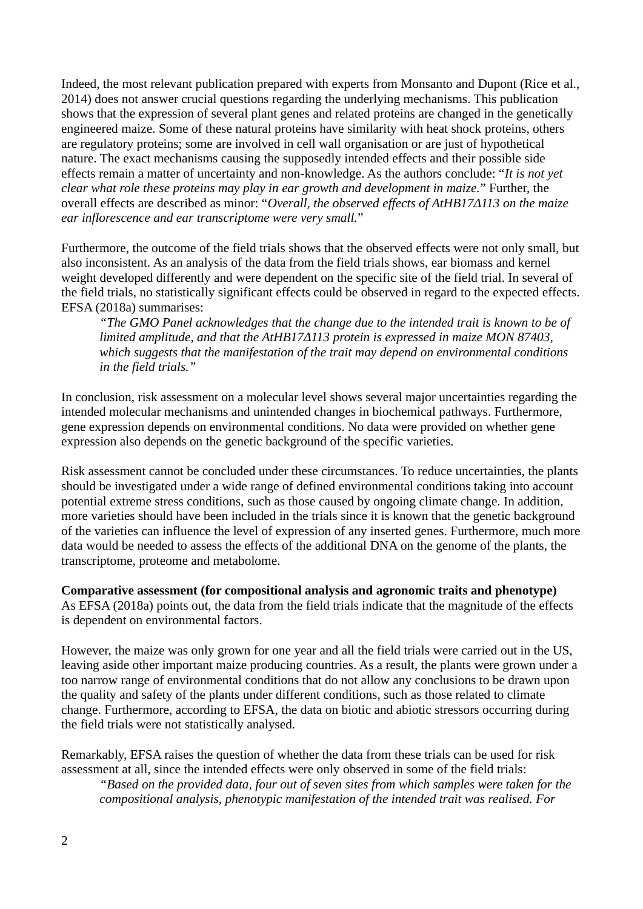Indeed, the most relevant publication prepared with experts from Monsanto and Dupont (Rice et al., 2014) does not answer crucial questions regarding the underlying mechanisms. This publication shows that the expression of several plant genes and related proteins are changed in the genetically engineered maize. Some of these natural proteins have similarity with heat shock proteins, others are regulatory proteins; some are involved in cell wall organisation or are just of hypothetical nature. The exact mechanisms causing the supposedly intended effects and their possible side effects remain a matter of uncertainty and non-knowledge. As the authors conclude: "*It is not yet clear what role these proteins may play in ear growth and development in maize.*" Further, the overall effects are described as minor: "*Overall, the observed effects of AtHB17Δ113 on the maize ear inflorescence and ear transcriptome were very small.*"

Furthermore, the outcome of the field trials shows that the observed effects were not only small, but also inconsistent. As an analysis of the data from the field trials shows, ear biomass and kernel weight developed differently and were dependent on the specific site of the field trial. In several of the field trials, no statistically significant effects could be observed in regard to the expected effects. EFSA (2018a) summarises:

*"The GMO Panel acknowledges that the change due to the intended trait is known to be of limited amplitude, and that the AtHB17Δ113 protein is expressed in maize MON 87403, which suggests that the manifestation of the trait may depend on environmental conditions in the field trials."* 

In conclusion, risk assessment on a molecular level shows several major uncertainties regarding the intended molecular mechanisms and unintended changes in biochemical pathways. Furthermore, gene expression depends on environmental conditions. No data were provided on whether gene expression also depends on the genetic background of the specific varieties.

Risk assessment cannot be concluded under these circumstances. To reduce uncertainties, the plants should be investigated under a wide range of defined environmental conditions taking into account potential extreme stress conditions, such as those caused by ongoing climate change. In addition, more varieties should have been included in the trials since it is known that the genetic background of the varieties can influence the level of expression of any inserted genes. Furthermore, much more data would be needed to assess the effects of the additional DNA on the genome of the plants, the transcriptome, proteome and metabolome.

**Comparative assessment (for compositional analysis and agronomic traits and phenotype)** As EFSA (2018a) points out, the data from the field trials indicate that the magnitude of the effects is dependent on environmental factors.

However, the maize was only grown for one year and all the field trials were carried out in the US, leaving aside other important maize producing countries. As a result, the plants were grown under a too narrow range of environmental conditions that do not allow any conclusions to be drawn upon the quality and safety of the plants under different conditions, such as those related to climate change. Furthermore, according to EFSA, the data on biotic and abiotic stressors occurring during the field trials were not statistically analysed.

Remarkably, EFSA raises the question of whether the data from these trials can be used for risk assessment at all, since the intended effects were only observed in some of the field trials:

*"Based on the provided data, four out of seven sites from which samples were taken for the compositional analysis, phenotypic manifestation of the intended trait was realised. For*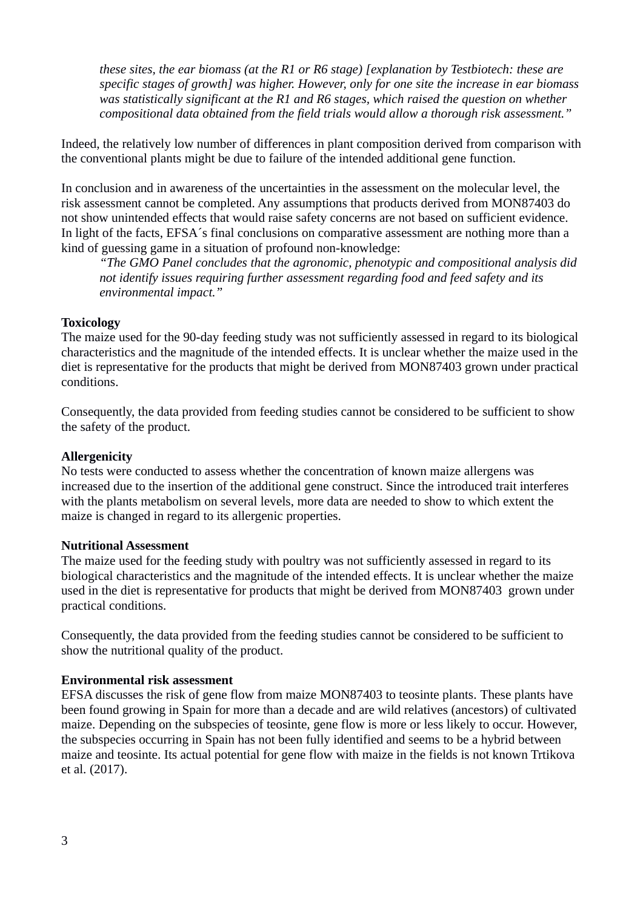*these sites, the ear biomass (at the R1 or R6 stage) [explanation by Testbiotech: these are specific stages of growth] was higher. However, only for one site the increase in ear biomass was statistically significant at the R1 and R6 stages, which raised the question on whether compositional data obtained from the field trials would allow a thorough risk assessment."*

Indeed, the relatively low number of differences in plant composition derived from comparison with the conventional plants might be due to failure of the intended additional gene function.

In conclusion and in awareness of the uncertainties in the assessment on the molecular level, the risk assessment cannot be completed. Any assumptions that products derived from MON87403 do not show unintended effects that would raise safety concerns are not based on sufficient evidence. In light of the facts, EFSA´s final conclusions on comparative assessment are nothing more than a kind of guessing game in a situation of profound non-knowledge:

*"The GMO Panel concludes that the agronomic, phenotypic and compositional analysis did not identify issues requiring further assessment regarding food and feed safety and its environmental impact."*

#### **Toxicology**

The maize used for the 90-day feeding study was not sufficiently assessed in regard to its biological characteristics and the magnitude of the intended effects. It is unclear whether the maize used in the diet is representative for the products that might be derived from MON87403 grown under practical conditions.

Consequently, the data provided from feeding studies cannot be considered to be sufficient to show the safety of the product.

#### **Allergenicity**

No tests were conducted to assess whether the concentration of known maize allergens was increased due to the insertion of the additional gene construct. Since the introduced trait interferes with the plants metabolism on several levels, more data are needed to show to which extent the maize is changed in regard to its allergenic properties.

#### **Nutritional Assessment**

The maize used for the feeding study with poultry was not sufficiently assessed in regard to its biological characteristics and the magnitude of the intended effects. It is unclear whether the maize used in the diet is representative for products that might be derived from MON87403 grown under practical conditions.

Consequently, the data provided from the feeding studies cannot be considered to be sufficient to show the nutritional quality of the product.

#### **Environmental risk assessment**

EFSA discusses the risk of gene flow from maize MON87403 to teosinte plants. These plants have been found growing in Spain for more than a decade and are wild relatives (ancestors) of cultivated maize. Depending on the subspecies of teosinte, gene flow is more or less likely to occur. However, the subspecies occurring in Spain has not been fully identified and seems to be a hybrid between maize and teosinte. Its actual potential for gene flow with maize in the fields is not known Trtikova et al. (2017).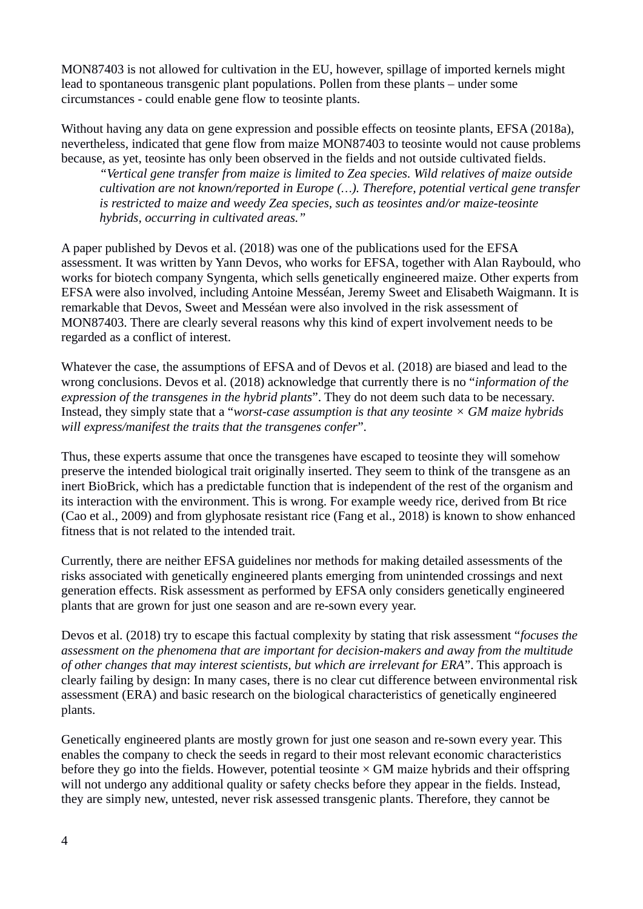MON87403 is not allowed for cultivation in the EU, however, spillage of imported kernels might lead to spontaneous transgenic plant populations. Pollen from these plants – under some circumstances - could enable gene flow to teosinte plants.

Without having any data on gene expression and possible effects on teosinte plants, EFSA (2018a), nevertheless, indicated that gene flow from maize MON87403 to teosinte would not cause problems because, as yet, teosinte has only been observed in the fields and not outside cultivated fields.

*"Vertical gene transfer from maize is limited to Zea species. Wild relatives of maize outside cultivation are not known/reported in Europe (…). Therefore, potential vertical gene transfer is restricted to maize and weedy Zea species, such as teosintes and/or maize-teosinte hybrids, occurring in cultivated areas."*

A paper published by Devos et al. (2018) was one of the publications used for the EFSA assessment. It was written by Yann Devos, who works for EFSA, together with Alan Raybould, who works for biotech company Syngenta, which sells genetically engineered maize. Other experts from EFSA were also involved, including Antoine Messéan, Jeremy Sweet and Elisabeth Waigmann. It is remarkable that Devos, Sweet and Messéan were also involved in the risk assessment of MON87403. There are clearly several reasons why this kind of expert involvement needs to be regarded as a conflict of interest.

Whatever the case, the assumptions of EFSA and of Devos et al. (2018) are biased and lead to the wrong conclusions. Devos et al. (2018) acknowledge that currently there is no "*information of the expression of the transgenes in the hybrid plants*". They do not deem such data to be necessary. Instead, they simply state that a "*worst-case assumption is that any teosinte × GM maize hybrids will express/manifest the traits that the transgenes confer*".

Thus, these experts assume that once the transgenes have escaped to teosinte they will somehow preserve the intended biological trait originally inserted. They seem to think of the transgene as an inert BioBrick, which has a predictable function that is independent of the rest of the organism and its interaction with the environment. This is wrong. For example weedy rice, derived from Bt rice (Cao et al., 2009) and from glyphosate resistant rice (Fang et al., 2018) is known to show enhanced fitness that is not related to the intended trait.

Currently, there are neither EFSA guidelines nor methods for making detailed assessments of the risks associated with genetically engineered plants emerging from unintended crossings and next generation effects. Risk assessment as performed by EFSA only considers genetically engineered plants that are grown for just one season and are re-sown every year.

Devos et al. (2018) try to escape this factual complexity by stating that risk assessment "*focuses the assessment on the phenomena that are important for decision-makers and away from the multitude of other changes that may interest scientists, but which are irrelevant for ERA*". This approach is clearly failing by design: In many cases, there is no clear cut difference between environmental risk assessment (ERA) and basic research on the biological characteristics of genetically engineered plants.

Genetically engineered plants are mostly grown for just one season and re-sown every year. This enables the company to check the seeds in regard to their most relevant economic characteristics before they go into the fields. However, potential teosinte  $\times$  GM maize hybrids and their offspring will not undergo any additional quality or safety checks before they appear in the fields. Instead, they are simply new, untested, never risk assessed transgenic plants. Therefore, they cannot be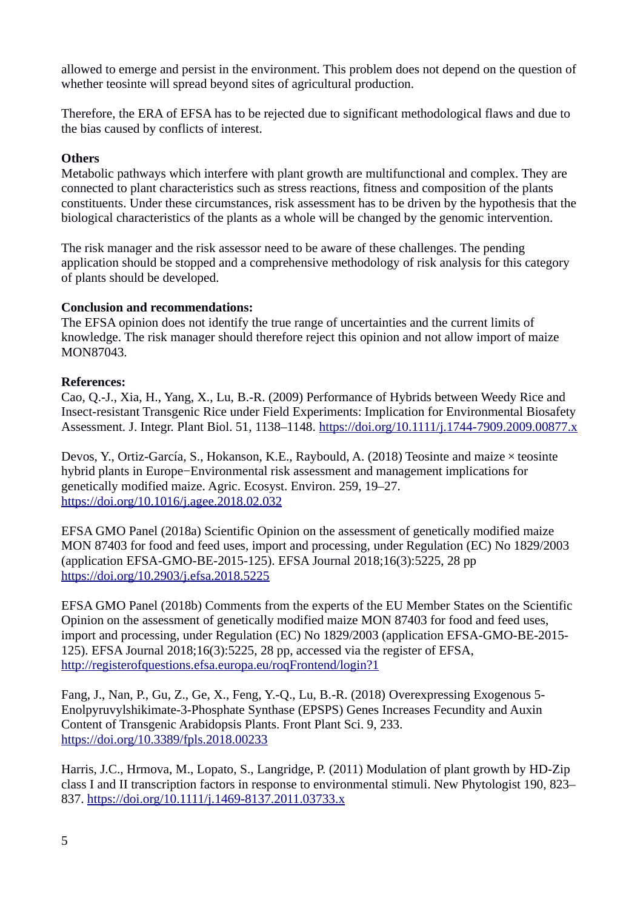allowed to emerge and persist in the environment. This problem does not depend on the question of whether teosinte will spread beyond sites of agricultural production.

Therefore, the ERA of EFSA has to be rejected due to significant methodological flaws and due to the bias caused by conflicts of interest.

# **Others**

Metabolic pathways which interfere with plant growth are multifunctional and complex. They are connected to plant characteristics such as stress reactions, fitness and composition of the plants constituents. Under these circumstances, risk assessment has to be driven by the hypothesis that the biological characteristics of the plants as a whole will be changed by the genomic intervention.

The risk manager and the risk assessor need to be aware of these challenges. The pending application should be stopped and a comprehensive methodology of risk analysis for this category of plants should be developed.

## **Conclusion and recommendations:**

The EFSA opinion does not identify the true range of uncertainties and the current limits of knowledge. The risk manager should therefore reject this opinion and not allow import of maize MON87043.

## **References:**

Cao, Q.-J., Xia, H., Yang, X., Lu, B.-R. (2009) Performance of Hybrids between Weedy Rice and Insect-resistant Transgenic Rice under Field Experiments: Implication for Environmental Biosafety Assessment. J. Integr. Plant Biol. 51, 1138–1148.<https://doi.org/10.1111/j.1744-7909.2009.00877.x>

Devos, Y., Ortiz-García, S., Hokanson, K.E., Raybould, A. (2018) Teosinte and maize × teosinte hybrid plants in Europe−Environmental risk assessment and management implications for genetically modified maize. Agric. Ecosyst. Environ. 259, 19–27. <https://doi.org/10.1016/j.agee.2018.02.032>

EFSA GMO Panel (2018a) Scientific Opinion on the assessment of genetically modified maize MON 87403 for food and feed uses, import and processing, under Regulation (EC) No 1829/2003 (application EFSA-GMO-BE-2015-125). EFSA Journal 2018;16(3):5225, 28 pp <https://doi.org/10.2903/j.efsa.2018.5225>

EFSA GMO Panel (2018b) Comments from the experts of the EU Member States on the Scientific Opinion on the assessment of genetically modified maize MON 87403 for food and feed uses, import and processing, under Regulation (EC) No 1829/2003 (application EFSA-GMO-BE-2015- 125). EFSA Journal 2018;16(3):5225, 28 pp, accessed via the register of EFSA, <http://registerofquestions.efsa.europa.eu/roqFrontend/login?1>

Fang, J., Nan, P., Gu, Z., Ge, X., Feng, Y.-Q., Lu, B.-R. (2018) Overexpressing Exogenous 5- Enolpyruvylshikimate-3-Phosphate Synthase (EPSPS) Genes Increases Fecundity and Auxin Content of Transgenic Arabidopsis Plants. Front Plant Sci. 9, 233. <https://doi.org/10.3389/fpls.2018.00233>

Harris, J.C., Hrmova, M., Lopato, S., Langridge, P. (2011) Modulation of plant growth by HD-Zip class I and II transcription factors in response to environmental stimuli. New Phytologist 190, 823– 837.<https://doi.org/10.1111/j.1469-8137.2011.03733.x>